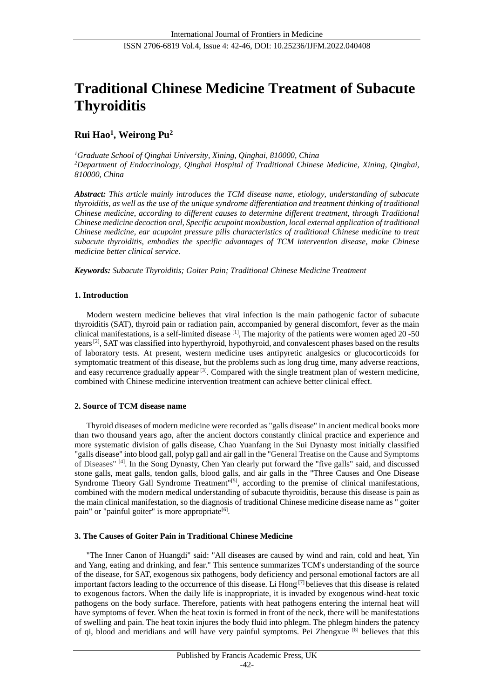# **Traditional Chinese Medicine Treatment of Subacute Thyroiditis**

## **Rui Hao<sup>1</sup> , Weirong Pu<sup>2</sup>**

*<sup>1</sup>Graduate School of Qinghai University, Xining, Qinghai, 810000, China <sup>2</sup>Department of Endocrinology, Qinghai Hospital of Traditional Chinese Medicine, Xining, Qinghai, 810000, China*

*Abstract: This article mainly introduces the TCM disease name, etiology, understanding of subacute thyroiditis, as well as the use of the unique syndrome differentiation and treatment thinking of traditional Chinese medicine, according to different causes to determine different treatment, through Traditional Chinese medicine decoction oral, Specific acupoint moxibustion, local external application of traditional Chinese medicine, ear acupoint pressure pills characteristics of traditional Chinese medicine to treat subacute thyroiditis, embodies the specific advantages of TCM intervention disease, make Chinese medicine better clinical service.*

*Keywords: Subacute Thyroiditis; Goiter Pain; Traditional Chinese Medicine Treatment*

## **1. Introduction**

Modern western medicine believes that viral infection is the main pathogenic factor of subacute thyroiditis (SAT), thyroid pain or radiation pain, accompanied by general discomfort, fever as the main clinical manifestations, is a self-limited disease  $\frac{11}{11}$ , The majority of the patients were women aged 20 -50 years<sup>[2]</sup>, SAT was classified into hyperthyroid, hypothyroid, and convalescent phases based on the results of laboratory tests. At present, western medicine uses antipyretic analgesics or glucocorticoids for symptomatic treatment of this disease, but the problems such as long drug time, many adverse reactions, and easy recurrence gradually appear <sup>[3]</sup>. Compared with the single treatment plan of western medicine, combined with Chinese medicine intervention treatment can achieve better clinical effect.

## **2. Source of TCM disease name**

Thyroid diseases of modern medicine were recorded as "galls disease" in ancient medical books more than two thousand years ago, after the ancient doctors constantly clinical practice and experience and more systematic division of galls disease, Chao Yuanfang in the Sui Dynasty most initially classified "galls disease" into blood gall, polyp gall and air gall in the "General Treatise on the Cause and Symptoms of Diseases" [4]. In the Song Dynasty, Chen Yan clearly put forward the "five galls" said, and discussed stone galls, meat galls, tendon galls, blood galls, and air galls in the "Three Causes and One Disease Syndrome Theory Gall Syndrome Treatment"<sup>[5]</sup>, according to the premise of clinical manifestations, combined with the modern medical understanding of subacute thyroiditis, because this disease is pain as the main clinical manifestation, so the diagnosis of traditional Chinese medicine disease name as " goiter pain" or "painful goiter" is more appropriate<sup>[6]</sup>.

## **3. The Causes of Goiter Pain in Traditional Chinese Medicine**

"The Inner Canon of Huangdi" said: "All diseases are caused by wind and rain, cold and heat, Yin and Yang, eating and drinking, and fear." This sentence summarizes TCM's understanding of the source of the disease, for SAT, exogenous six pathogens, body deficiency and personal emotional factors are all important factors leading to the occurrence of this disease. Li Hong [7] believes that this disease is related to exogenous factors. When the daily life is inappropriate, it is invaded by exogenous wind-heat toxic pathogens on the body surface. Therefore, patients with heat pathogens entering the internal heat will have symptoms of fever. When the heat toxin is formed in front of the neck, there will be manifestations of swelling and pain. The heat toxin injures the body fluid into phlegm. The phlegm hinders the patency of qi, blood and meridians and will have very painful symptoms. Pei Zhengxue [8] believes that this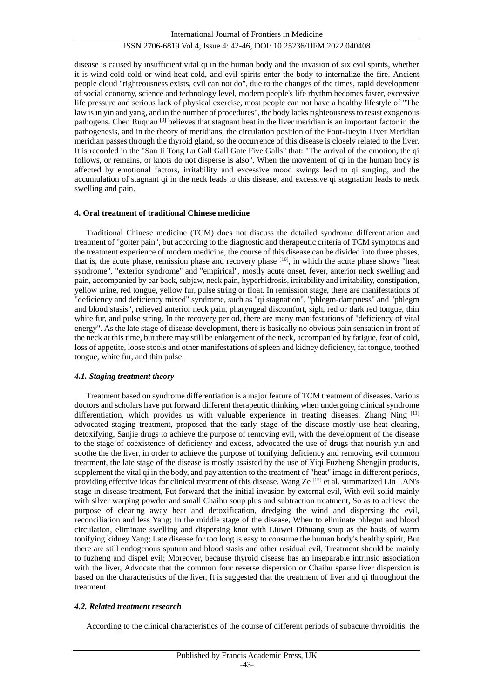disease is caused by insufficient vital qi in the human body and the invasion of six evil spirits, whether it is wind-cold cold or wind-heat cold, and evil spirits enter the body to internalize the fire. Ancient people cloud "righteousness exists, evil can not do", due to the changes of the times, rapid development of social economy, science and technology level, modern people's life rhythm becomes faster, excessive life pressure and serious lack of physical exercise, most people can not have a healthy lifestyle of "The law is in yin and yang, and in the number of procedures", the body lacks righteousness to resist exogenous pathogens. Chen Ruquan<sup>[9]</sup> believes that stagnant heat in the liver meridian is an important factor in the pathogenesis, and in the theory of meridians, the circulation position of the Foot-Jueyin Liver Meridian meridian passes through the thyroid gland, so the occurrence of this disease is closely related to the liver. It is recorded in the "San Ji Tong Lu Gall Gall Gate Five Galls" that: "The arrival of the emotion, the qi follows, or remains, or knots do not disperse is also". When the movement of qi in the human body is affected by emotional factors, irritability and excessive mood swings lead to qi surging, and the accumulation of stagnant qi in the neck leads to this disease, and excessive qi stagnation leads to neck swelling and pain.

## **4. Oral treatment of traditional Chinese medicine**

Traditional Chinese medicine (TCM) does not discuss the detailed syndrome differentiation and treatment of "goiter pain", but according to the diagnostic and therapeutic criteria of TCM symptoms and the treatment experience of modern medicine, the course of this disease can be divided into three phases, that is, the acute phase, remission phase and recovery phase <sup>[10]</sup>, in which the acute phase shows "heat syndrome", "exterior syndrome" and "empirical", mostly acute onset, fever, anterior neck swelling and pain, accompanied by ear back, subjaw, neck pain, hyperhidrosis, irritability and irritability, constipation, yellow urine, red tongue, yellow fur, pulse string or float. In remission stage, there are manifestations of "deficiency and deficiency mixed" syndrome, such as "qi stagnation", "phlegm-dampness" and "phlegm and blood stasis", relieved anterior neck pain, pharyngeal discomfort, sigh, red or dark red tongue, thin white fur, and pulse string. In the recovery period, there are many manifestations of "deficiency of vital" energy". As the late stage of disease development, there is basically no obvious pain sensation in front of the neck at this time, but there may still be enlargement of the neck, accompanied by fatigue, fear of cold, loss of appetite, loose stools and other manifestations of spleen and kidney deficiency, fat tongue, toothed tongue, white fur, and thin pulse.

## *4.1. Staging treatment theory*

Treatment based on syndrome differentiation is a major feature of TCM treatment of diseases. Various doctors and scholars have put forward different therapeutic thinking when undergoing clinical syndrome differentiation, which provides us with valuable experience in treating diseases. Zhang Ning [11] advocated staging treatment, proposed that the early stage of the disease mostly use heat-clearing, detoxifying, Sanjie drugs to achieve the purpose of removing evil, with the development of the disease to the stage of coexistence of deficiency and excess, advocated the use of drugs that nourish yin and soothe the the liver, in order to achieve the purpose of tonifying deficiency and removing evil common treatment, the late stage of the disease is mostly assisted by the use of Yiqi Fuzheng Shengjin products, supplement the vital qi in the body, and pay attention to the treatment of "heat" image in different periods, providing effective ideas for clinical treatment of this disease. Wang Ze<sup>[12]</sup> et al. summarized Lin LAN's stage in disease treatment, Put forward that the initial invasion by external evil, With evil solid mainly with silver warping powder and small Chaihu soup plus and subtraction treatment, So as to achieve the purpose of clearing away heat and detoxification, dredging the wind and dispersing the evil, reconciliation and less Yang; In the middle stage of the disease, When to eliminate phlegm and blood circulation, eliminate swelling and dispersing knot with Liuwei Dihuang soup as the basis of warm tonifying kidney Yang; Late disease for too long is easy to consume the human body's healthy spirit, But there are still endogenous sputum and blood stasis and other residual evil, Treatment should be mainly to fuzheng and dispel evil; Moreover, because thyroid disease has an inseparable intrinsic association with the liver, Advocate that the common four reverse dispersion or Chaihu sparse liver dispersion is based on the characteristics of the liver, It is suggested that the treatment of liver and qi throughout the treatment.

## *4.2. Related treatment research*

According to the clinical characteristics of the course of different periods of subacute thyroiditis, the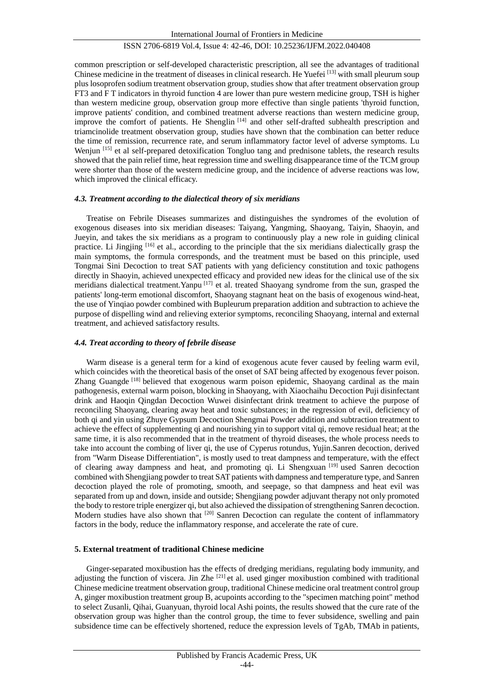common prescription or self-developed characteristic prescription, all see the advantages of traditional Chinese medicine in the treatment of diseases in clinical research. He Yuefei [13] with small pleurum soup plus losoprofen sodium treatment observation group, studies show that after treatment observation group FT3 and F T indicators in thyroid function 4 are lower than pure western medicine group, TSH is higher than western medicine group, observation group more effective than single patients 'thyroid function, improve patients' condition, and combined treatment adverse reactions than western medicine group, improve the comfort of patients. He Shenglin<sup>[14]</sup> and other self-drafted subhealth prescription and triamcinolide treatment observation group, studies have shown that the combination can better reduce the time of remission, recurrence rate, and serum inflammatory factor level of adverse symptoms. Lu Wenjun [15] et al self-prepared detoxification Tongluo tang and prednisone tablets, the research results showed that the pain relief time, heat regression time and swelling disappearance time of the TCM group were shorter than those of the western medicine group, and the incidence of adverse reactions was low, which improved the clinical efficacy.

#### *4.3. Treatment according to the dialectical theory of six meridians*

Treatise on Febrile Diseases summarizes and distinguishes the syndromes of the evolution of exogenous diseases into six meridian diseases: Taiyang, Yangming, Shaoyang, Taiyin, Shaoyin, and Jueyin, and takes the six meridians as a program to continuously play a new role in guiding clinical practice. Li Jingjing [16] et al., according to the principle that the six meridians dialectically grasp the main symptoms, the formula corresponds, and the treatment must be based on this principle, used Tongmai Sini Decoction to treat SAT patients with yang deficiency constitution and toxic pathogens directly in Shaoyin, achieved unexpected efficacy and provided new ideas for the clinical use of the six meridians dialectical treatment.Yanpu [17] et al. treated Shaoyang syndrome from the sun, grasped the patients' long-term emotional discomfort, Shaoyang stagnant heat on the basis of exogenous wind-heat, the use of Yinqiao powder combined with Bupleurum preparation addition and subtraction to achieve the purpose of dispelling wind and relieving exterior symptoms, reconciling Shaoyang, internal and external treatment, and achieved satisfactory results.

#### *4.4. Treat according to theory of febrile disease*

Warm disease is a general term for a kind of exogenous acute fever caused by feeling warm evil, which coincides with the theoretical basis of the onset of SAT being affected by exogenous fever poison. Zhang Guangde [18] believed that exogenous warm poison epidemic, Shaoyang cardinal as the main pathogenesis, external warm poison, blocking in Shaoyang, with Xiaochaihu Decoction Puji disinfectant drink and Haoqin Qingdan Decoction Wuwei disinfectant drink treatment to achieve the purpose of reconciling Shaoyang, clearing away heat and toxic substances; in the regression of evil, deficiency of both qi and yin using Zhuye Gypsum Decoction Shengmai Powder addition and subtraction treatment to achieve the effect of supplementing qi and nourishing yin to support vital qi, remove residual heat; at the same time, it is also recommended that in the treatment of thyroid diseases, the whole process needs to take into account the combing of liver qi, the use of Cyperus rotundus, Yujin.Sanren decoction, derived from "Warm Disease Differentiation", is mostly used to treat dampness and temperature, with the effect of clearing away dampness and heat, and promoting qi. Li Shengxuan [19] used Sanren decoction combined with Shengjiang powder to treat SAT patients with dampness and temperature type, and Sanren decoction played the role of promoting, smooth, and seepage, so that dampness and heat evil was separated from up and down, inside and outside; Shengjiang powder adjuvant therapy not only promoted the body to restore triple energizer qi, but also achieved the dissipation of strengthening Sanren decoction. Modern studies have also shown that <sup>[20]</sup> Sanren Decoction can regulate the content of inflammatory factors in the body, reduce the inflammatory response, and accelerate the rate of cure.

## **5. External treatment of traditional Chinese medicine**

Ginger-separated moxibustion has the effects of dredging meridians, regulating body immunity, and adjusting the function of viscera. Jin Zhe  $[21]$  et al. used ginger moxibustion combined with traditional Chinese medicine treatment observation group, traditional Chinese medicine oral treatment control group A, ginger moxibustion treatment group B, acupoints according to the "specimen matching point" method to select Zusanli, Qihai, Guanyuan, thyroid local Ashi points, the results showed that the cure rate of the observation group was higher than the control group, the time to fever subsidence, swelling and pain subsidence time can be effectively shortened, reduce the expression levels of TgAb, TMAb in patients,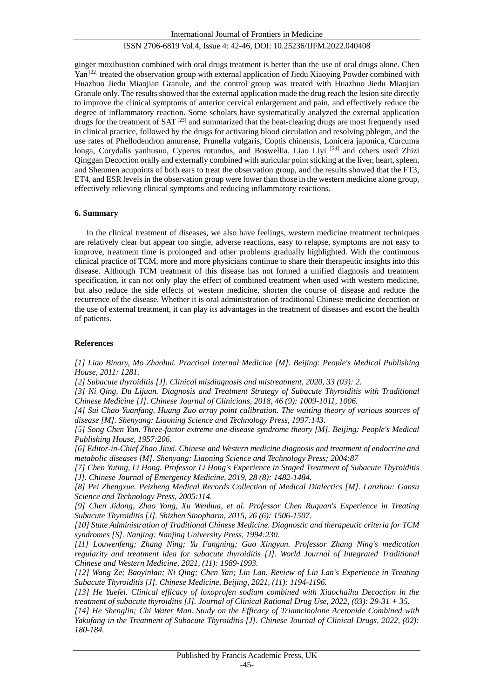ginger moxibustion combined with oral drugs treatment is better than the use of oral drugs alone. Chen Yan [22] treated the observation group with external application of Jiedu Xiaoying Powder combined with Huazhuo Jiedu Miaojian Granule, and the control group was treated with Huazhuo Jiedu Miaojian Granule only. The results showed that the external application made the drug reach the lesion site directly to improve the clinical symptoms of anterior cervical enlargement and pain, and effectively reduce the degree of inflammatory reaction. Some scholars have systematically analyzed the external application drugs for the treatment of  $SAT^{[23]}$  and summarized that the heat-clearing drugs are most frequently used in clinical practice, followed by the drugs for activating blood circulation and resolving phlegm, and the use rates of Phellodendron amurense, Prunella vulgaris, Coptis chinensis, Lonicera japonica, Curcuma longa, Corydalis yanhusuo, Cyperus rotundus, and Boswellia. Liao Livi<sup>[24]</sup> and others used Zhizi Qinggan Decoction orally and externally combined with auricular point sticking at the liver, heart, spleen, and Shenmen acupoints of both ears to treat the observation group, and the results showed that the FT3, ET4, and ESR levels in the observation group were lower than those in the western medicine alone group, effectively relieving clinical symptoms and reducing inflammatory reactions.

## **6. Summary**

In the clinical treatment of diseases, we also have feelings, western medicine treatment techniques are relatively clear but appear too single, adverse reactions, easy to relapse, symptoms are not easy to improve, treatment time is prolonged and other problems gradually highlighted. With the continuous clinical practice of TCM, more and more physicians continue to share their therapeutic insights into this disease. Although TCM treatment of this disease has not formed a unified diagnosis and treatment specification, it can not only play the effect of combined treatment when used with western medicine, but also reduce the side effects of western medicine, shorten the course of disease and reduce the recurrence of the disease. Whether it is oral administration of traditional Chinese medicine decoction or the use of external treatment, it can play its advantages in the treatment of diseases and escort the health of patients.

## **References**

*[1] Liao Binary, Mo Zhaohui. Practical Internal Medicine [M]. Beijing: People's Medical Publishing House, 2011: 1281.* 

*[2] Subacute thyroiditis [J]. Clinical misdiagnosis and mistreatment, 2020, 33 (03): 2.*

*[3] Ni Qing, Du Lijuan. Diagnosis and Treatment Strategy of Subacute Thyroiditis with Traditional Chinese Medicine [J]. Chinese Journal of Clinicians, 2018, 46 (9): 1009-1011, 1006.*

*[4] Sui Chao Yuanfang, Huang Zuo array point calibration. The waiting theory of various sources of disease [M]. Shenyang: Liaoning Science and Technology Press, 1997:143.*

*[5] Song Chen Yan. Three-factor extreme one-disease syndrome theory [M]. Beijing: People's Medical Publishing House, 1957:206.*

*[6] Editor-in-Chief Zhao Jinxi. Chinese and Western medicine diagnosis and treatment of endocrine and metabolic diseases [M]. Shenyang: Liaoning Science and Technology Press; 2004:87*

*[7] Chen Yuting, Li Hong. Professor Li Hong's Experience in Staged Treatment of Subacute Thyroiditis [J]. Chinese Journal of Emergency Medicine, 2019, 28 (8): 1482-1484.*

*[8] Pei Zhengxue. Peizheng Medical Records Collection of Medical Dialectics [M]. Lanzhou: Gansu Science and Technology Press, 2005:114.* 

*[9] Chen Jidong, Zhao Yong, Xu Wenhua, et al. Professor Chen Ruquan's Experience in Treating Subacute Thyroiditis [J]. Shizhen Sinopharm, 2015, 26 (6): 1506-1507.* 

*[10] State Administration of Traditional Chinese Medicine. Diagnostic and therapeutic criteria for TCM syndromes [S]. Nanjing: Nanjing University Press, 1994:230.*

*[11] Louwenfeng; Zhang Ning; Yu Fangning; Guo Xingyun. Professor Zhang Ning's medication regularity and treatment idea for subacute thyroiditis [J]. World Journal of Integrated Traditional Chinese and Western Medicine, 2021, (11): 1989-1993.*

*[12] Wang Ze; Baoyinlan; Ni Qing; Chen Yan; Lin Lan. Review of Lin Lan's Experience in Treating Subacute Thyroiditis [J]. Chinese Medicine, Beijing, 2021, (11): 1194-1196.*

*[13] He Yuefei. Clinical efficacy of loxoprofen sodium combined with Xiaochaihu Decoction in the treatment of subacute thyroiditis [J]. Journal of Clinical Rational Drug Use, 2022, (03): 29-31 + 35.*

*[14] He Shenglin; Chi Water Man. Study on the Efficacy of Triamcinolone Acetonide Combined with Yakufang in the Treatment of Subacute Thyroiditis [J]. Chinese Journal of Clinical Drugs, 2022, (02): 180-184.*